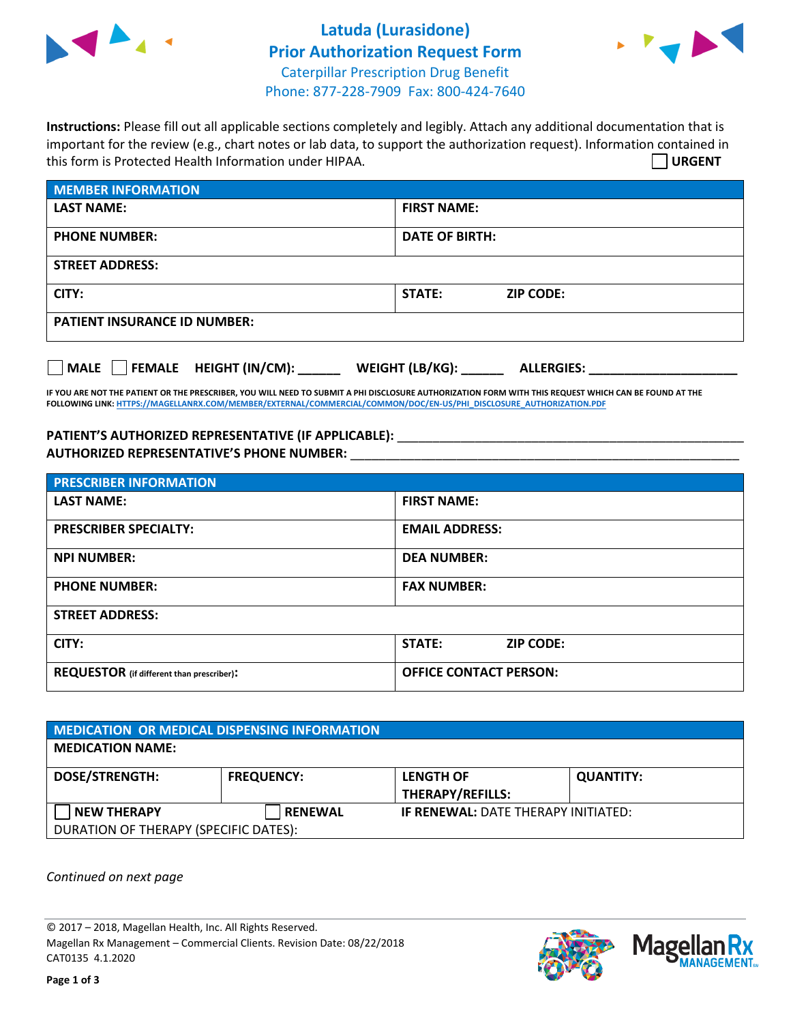

## **Latuda (Lurasidone) Prior Authorization Request Form** Caterpillar Prescription Drug Benefit Phone: 877-228-7909 Fax: 800-424-7640



**Instructions:** Please fill out all applicable sections completely and legibly. Attach any additional documentation that is important for the review (e.g., chart notes or lab data, to support the authorization request). Information contained in this form is Protected Health Information under HIPAA. **URGENT**

| <b>MEMBER INFORMATION</b>           |                                   |  |  |  |
|-------------------------------------|-----------------------------------|--|--|--|
| <b>LAST NAME:</b>                   | <b>FIRST NAME:</b>                |  |  |  |
| <b>PHONE NUMBER:</b>                | <b>DATE OF BIRTH:</b>             |  |  |  |
| <b>STREET ADDRESS:</b>              |                                   |  |  |  |
| CITY:                               | <b>STATE:</b><br><b>ZIP CODE:</b> |  |  |  |
| <b>PATIENT INSURANCE ID NUMBER:</b> |                                   |  |  |  |

**MALE FEMALE HEIGHT (IN/CM): \_\_\_\_\_\_ WEIGHT (LB/KG): \_\_\_\_\_\_ ALLERGIES: \_\_\_\_\_\_\_\_\_\_\_\_\_\_\_\_\_\_\_\_\_**

**IF YOU ARE NOT THE PATIENT OR THE PRESCRIBER, YOU WILL NEED TO SUBMIT A PHI DISCLOSURE AUTHORIZATION FORM WITH THIS REQUEST WHICH CAN BE FOUND AT THE FOLLOWING LINK[: HTTPS://MAGELLANRX.COM/MEMBER/EXTERNAL/COMMERCIAL/COMMON/DOC/EN-US/PHI\\_DISCLOSURE\\_AUTHORIZATION.PDF](https://magellanrx.com/member/external/commercial/common/doc/en-us/PHI_Disclosure_Authorization.pdf)**

## **PATIENT'S AUTHORIZED REPRESENTATIVE (IF APPLICABLE):** \_\_\_\_\_\_\_\_\_\_\_\_\_\_\_\_\_\_\_\_\_\_\_\_\_\_\_\_\_\_\_\_\_\_\_\_\_\_\_\_\_\_\_\_\_\_\_\_\_ **AUTHORIZED REPRESENTATIVE'S PHONE NUMBER:** \_\_\_\_\_\_\_\_\_\_\_\_\_\_\_\_\_\_\_\_\_\_\_\_\_\_\_\_\_\_\_\_\_\_\_\_\_\_\_\_\_\_\_\_\_\_\_\_\_\_\_\_\_\_\_

| <b>PRESCRIBER INFORMATION</b>             |                               |  |  |
|-------------------------------------------|-------------------------------|--|--|
| <b>LAST NAME:</b>                         | <b>FIRST NAME:</b>            |  |  |
| <b>PRESCRIBER SPECIALTY:</b>              | <b>EMAIL ADDRESS:</b>         |  |  |
| <b>NPI NUMBER:</b>                        | <b>DEA NUMBER:</b>            |  |  |
| <b>PHONE NUMBER:</b>                      | <b>FAX NUMBER:</b>            |  |  |
| <b>STREET ADDRESS:</b>                    |                               |  |  |
| CITY:                                     | STATE:<br><b>ZIP CODE:</b>    |  |  |
| REQUESTOR (if different than prescriber): | <b>OFFICE CONTACT PERSON:</b> |  |  |

| <b>MEDICATION OR MEDICAL DISPENSING INFORMATION</b> |                   |                                             |                  |  |  |
|-----------------------------------------------------|-------------------|---------------------------------------------|------------------|--|--|
| <b>MEDICATION NAME:</b>                             |                   |                                             |                  |  |  |
| <b>DOSE/STRENGTH:</b>                               | <b>FREQUENCY:</b> | <b>LENGTH OF</b><br><b>THERAPY/REFILLS:</b> | <b>QUANTITY:</b> |  |  |
| <b>NEW THERAPY</b>                                  | <b>RENEWAL</b>    | <b>IF RENEWAL: DATE THERAPY INITIATED:</b>  |                  |  |  |
| DURATION OF THERAPY (SPECIFIC DATES):               |                   |                                             |                  |  |  |

*Continued on next page*

© 2017 – 2018, Magellan Health, Inc. All Rights Reserved. Magellan Rx Management – Commercial Clients. Revision Date: 08/22/2018 CAT0135 4.1.2020

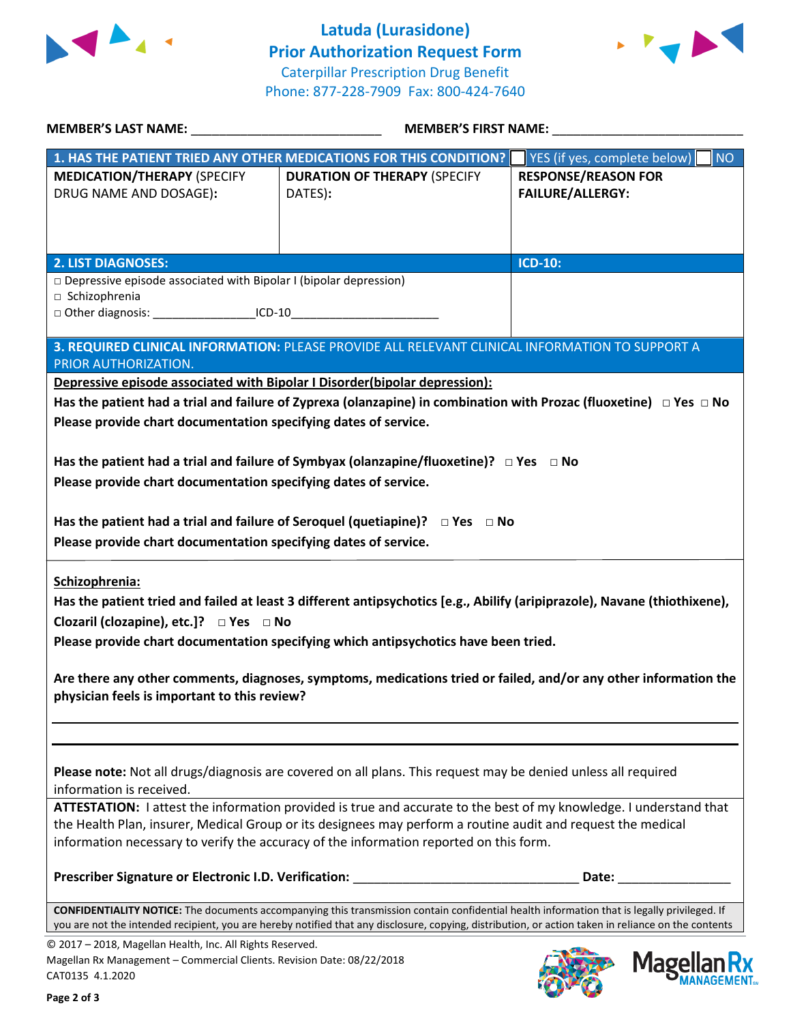



|                                                                                                                                                                                | MEMBER'S LAST NAME: __________________________________<br>MEMBER'S FIRST NAME:                                                                                                                                                                                                                                               |                                                       |  |
|--------------------------------------------------------------------------------------------------------------------------------------------------------------------------------|------------------------------------------------------------------------------------------------------------------------------------------------------------------------------------------------------------------------------------------------------------------------------------------------------------------------------|-------------------------------------------------------|--|
|                                                                                                                                                                                | 1. HAS THE PATIENT TRIED ANY OTHER MEDICATIONS FOR THIS CONDITION?                                                                                                                                                                                                                                                           | YES (if yes, complete below)<br><b>NO</b>             |  |
| <b>MEDICATION/THERAPY (SPECIFY</b><br>DRUG NAME AND DOSAGE):                                                                                                                   | <b>DURATION OF THERAPY (SPECIFY</b><br>DATES):                                                                                                                                                                                                                                                                               | <b>RESPONSE/REASON FOR</b><br><b>FAILURE/ALLERGY:</b> |  |
| <b>2. LIST DIAGNOSES:</b>                                                                                                                                                      |                                                                                                                                                                                                                                                                                                                              | <b>ICD-10:</b>                                        |  |
| $\Box$ Depressive episode associated with Bipolar I (bipolar depression)<br>□ Schizophrenia<br>□ Other diagnosis: ____________________ICD-10__________________________________ |                                                                                                                                                                                                                                                                                                                              |                                                       |  |
| PRIOR AUTHORIZATION.                                                                                                                                                           | 3. REQUIRED CLINICAL INFORMATION: PLEASE PROVIDE ALL RELEVANT CLINICAL INFORMATION TO SUPPORT A                                                                                                                                                                                                                              |                                                       |  |
| Depressive episode associated with Bipolar I Disorder(bipolar depression):                                                                                                     |                                                                                                                                                                                                                                                                                                                              |                                                       |  |
| Please provide chart documentation specifying dates of service.                                                                                                                | Has the patient had a trial and failure of Zyprexa (olanzapine) in combination with Prozac (fluoxetine) $\Box$ Yes $\Box$ No                                                                                                                                                                                                 |                                                       |  |
| Please provide chart documentation specifying dates of service.                                                                                                                | Has the patient had a trial and failure of Symbyax (olanzapine/fluoxetine)? $\Box$ Yes $\Box$ No                                                                                                                                                                                                                             |                                                       |  |
| Please provide chart documentation specifying dates of service.                                                                                                                | Has the patient had a trial and failure of Seroquel (quetiapine)? $\Box$ Yes $\Box$ No                                                                                                                                                                                                                                       |                                                       |  |
| Schizophrenia:<br>Clozaril (clozapine), etc.]? □ Yes □ No                                                                                                                      | Has the patient tried and failed at least 3 different antipsychotics [e.g., Abilify (aripiprazole), Navane (thiothixene),<br>Please provide chart documentation specifying which antipsychotics have been tried.                                                                                                             |                                                       |  |
| physician feels is important to this review?                                                                                                                                   | Are there any other comments, diagnoses, symptoms, medications tried or failed, and/or any other information the                                                                                                                                                                                                             |                                                       |  |
| information is received.                                                                                                                                                       | Please note: Not all drugs/diagnosis are covered on all plans. This request may be denied unless all required                                                                                                                                                                                                                |                                                       |  |
|                                                                                                                                                                                | ATTESTATION: I attest the information provided is true and accurate to the best of my knowledge. I understand that<br>the Health Plan, insurer, Medical Group or its designees may perform a routine audit and request the medical<br>information necessary to verify the accuracy of the information reported on this form. |                                                       |  |
| Prescriber Signature or Electronic I.D. Verification:                                                                                                                          |                                                                                                                                                                                                                                                                                                                              | Date:                                                 |  |
|                                                                                                                                                                                | CONFIDENTIALITY NOTICE: The documents accompanying this transmission contain confidential health information that is legally privileged. If<br>you are not the intended recipient, you are hereby notified that any disclosure, copying, distribution, or action taken in reliance on the contents                           |                                                       |  |
| © 2017 - 2018, Magellan Health, Inc. All Rights Reserved.<br>Magellan Rx Management - Commercial Clients. Revision Date: 08/22/2018<br>CAT0135 4.1.2020                        |                                                                                                                                                                                                                                                                                                                              | Magel                                                 |  |